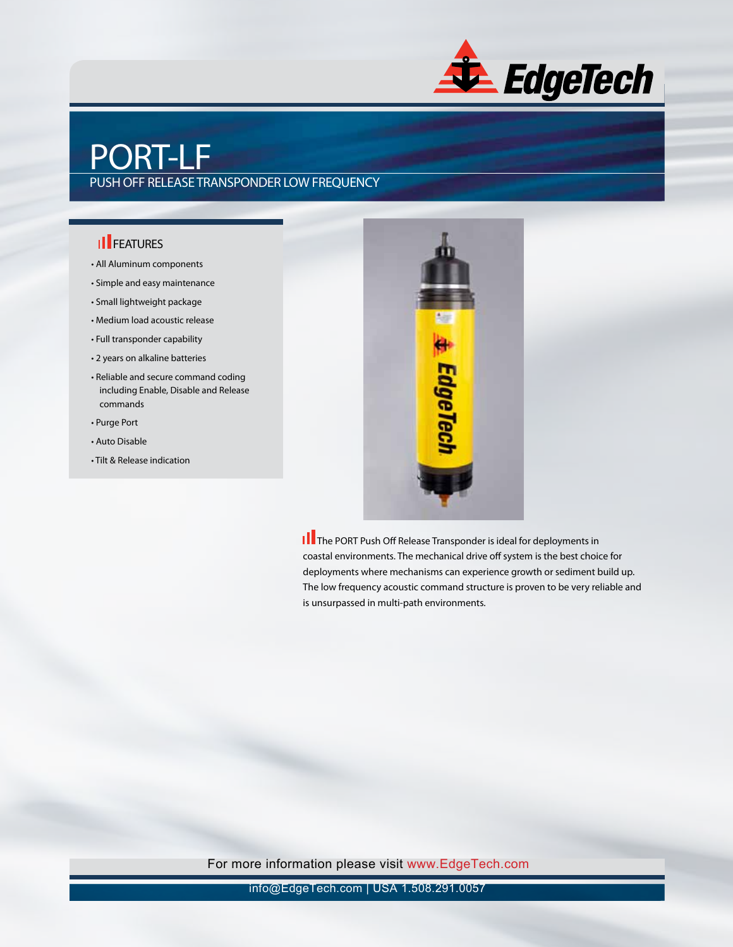

## PORT-LF

#### PUSH OFF RELEASE TRANSPONDER LOW FREQUENCY

#### **II** FEATURES

- All Aluminum components
- Simple and easy maintenance
- Small lightweight package
- Medium load acoustic release
- Full transponder capability
- 2 years on alkaline batteries
- Reliable and secure command coding including Enable, Disable and Release commands
- Purge Port
- Auto Disable
- Tilt & Release indication



**II** The PORT Push Off Release Transponder is ideal for deployments in coastal environments. The mechanical drive off system is the best choice for deployments where mechanisms can experience growth or sediment build up. The low frequency acoustic command structure is proven to be very reliable and is unsurpassed in multi-path environments.

For more information please visit www.EdgeTech.com

info@EdgeTech.com | USA 1.508.291.0057